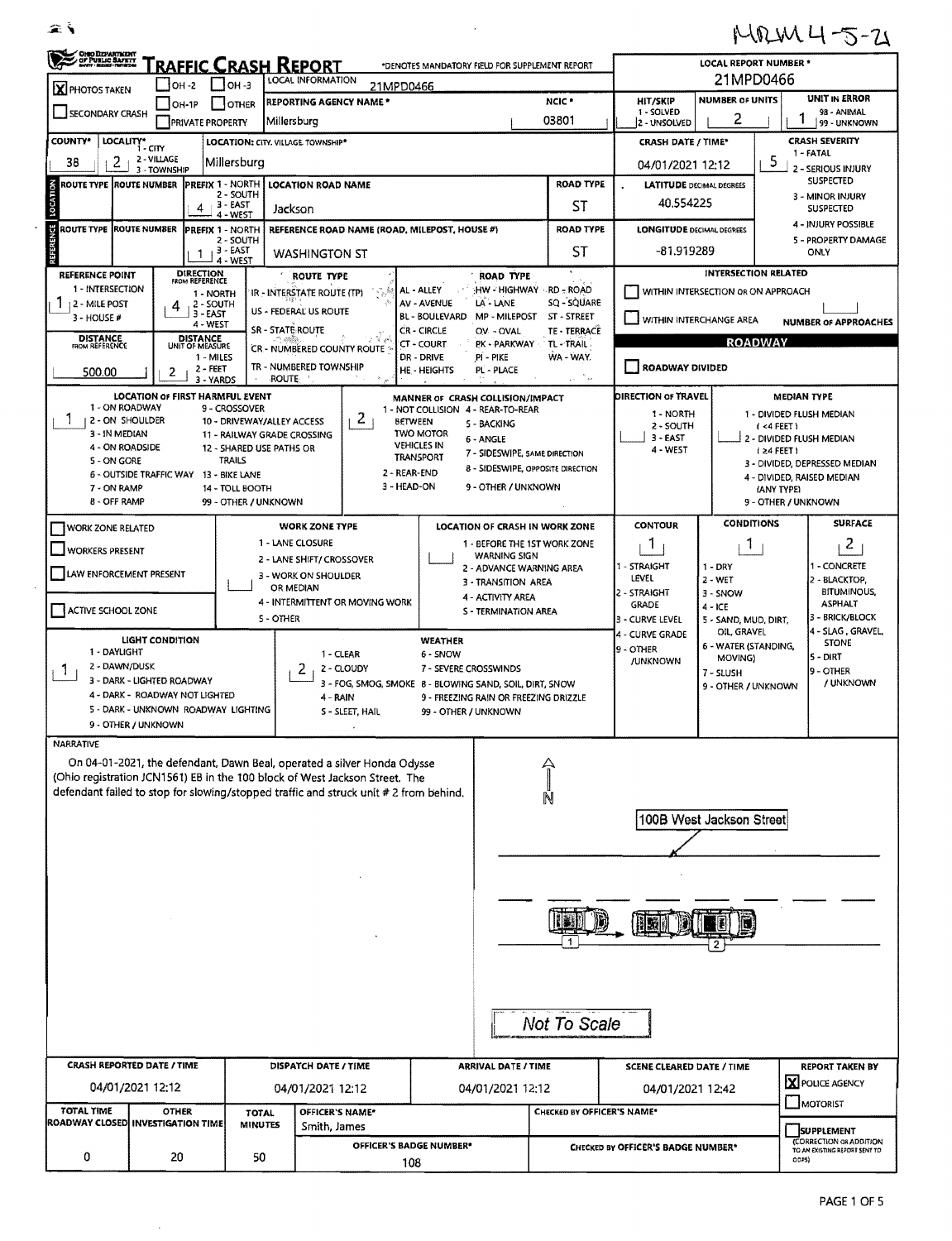$\sim$ 

| MRM4-5-21 |  |  |  |
|-----------|--|--|--|
|-----------|--|--|--|

| OHO DEPARTMENT                                    | 'raffic Crash Report                                         | LOCAL REPORT NUMBER *                                               |                                                                                                                                                                                                                                                 |                                                                                                                     |                                                                                                         |                                                                                              |                                                                                               |                                                             |  |  |  |
|---------------------------------------------------|--------------------------------------------------------------|---------------------------------------------------------------------|-------------------------------------------------------------------------------------------------------------------------------------------------------------------------------------------------------------------------------------------------|---------------------------------------------------------------------------------------------------------------------|---------------------------------------------------------------------------------------------------------|----------------------------------------------------------------------------------------------|-----------------------------------------------------------------------------------------------|-------------------------------------------------------------|--|--|--|
| <b>X</b> PHOTOS TAKEN                             | $IOH - 2$                                                    | $ $ $ $ OH -3                                                       | LOCAL INFORMATION<br>21MPD0466                                                                                                                                                                                                                  | 21MPD0466                                                                                                           |                                                                                                         |                                                                                              |                                                                                               |                                                             |  |  |  |
| SECONDARY CRASH                                   | OH-1P<br><b>PRIVATE PROPERTY</b>                             | OTHER                                                               | <b>REPORTING AGENCY NAME*</b><br>Millersburg                                                                                                                                                                                                    |                                                                                                                     | NCIC <sup>*</sup><br>03801                                                                              | <b>HIT/SKIP</b><br>1 - SOLVED<br>2 - UNSOLVED                                                | <b>NUMBER OF UNITS</b><br>2                                                                   | UNIT IN ERROR<br>98 - ANIMAL<br>99 - UNKNOWN                |  |  |  |
| <b>COUNTY</b> *                                   | LOCALITY* CITY<br>2 - VILLAGE                                | LOCATION: CITY, VILLAGE TOWNSHIP*                                   |                                                                                                                                                                                                                                                 |                                                                                                                     | <b>CRASH DATE / TIME*</b>                                                                               | <b>CRASH SEVERITY</b><br>1 - FATAL                                                           |                                                                                               |                                                             |  |  |  |
| $2 -$<br>38<br><b>ROUTE TYPE ROUTE NUMBER</b>     | 3 - TOWNSHIP                                                 | Millersburg<br><b>PREFIX 1 - NORTH</b><br><b>LOCATION ROAD NAME</b> | 04/01/2021 12:12<br><b>LATITUDE DECIMAL DEGREES</b>                                                                                                                                                                                             | 5<br>2 - SERIOUS INJURY<br><b>SUSPECTED</b>                                                                         |                                                                                                         |                                                                                              |                                                                                               |                                                             |  |  |  |
|                                                   | 4                                                            | 2 - SOUTH<br>$-3 - EAST$<br>4 - WEST                                | Jackson                                                                                                                                                                                                                                         |                                                                                                                     | ST                                                                                                      | 40.554225                                                                                    | 3 - MINOR INJURY<br><b>SUSPECTED</b>                                                          |                                                             |  |  |  |
| <b>ROUTE TYPE</b><br>u                            | <b>ROUTE NUMBER</b>                                          | <b>PREFIX 1 - NORTH</b><br>2 - SOUTH                                | REFERENCE ROAD NAME (ROAD, MILEPOST, HOUSE #)                                                                                                                                                                                                   |                                                                                                                     | <b>ROAD TYPE</b>                                                                                        | <b>LONGITUDE DECIMAL DEGREES</b>                                                             | 4 - INJURY POSSIBLE<br>5 - PROPERTY DAMAGE                                                    |                                                             |  |  |  |
| REFERENCE POINT                                   | -1<br><b>DIRECTION</b><br>FROM REFERENCE                     | $13 - EAST$<br>4 - WEST                                             | <b>WASHINGTON ST</b><br><b>ROUTE TYPE</b>                                                                                                                                                                                                       | <b>ROAD TYPE</b>                                                                                                    | ST                                                                                                      | -81.919289<br>ONLY<br><b>INTERSECTION RELATED</b>                                            |                                                                                               |                                                             |  |  |  |
| 1 - INTERSECTION<br>12 - MILE POST<br>3 - HOUSE # | 1 - NORTH<br>2 - SOUTH<br>4<br>3 - EAST                      |                                                                     | i og St<br>IR - INTERSTATE ROUTE (TP)<br>US - FEDERAL US ROUTE                                                                                                                                                                                  | HW - HIGHWAY - RD - ROAD<br>AL - ALLEY<br>AV - AVENUE<br>LA - LANE<br><b>BL - BOULEVARD</b><br><b>MP - MILEPOST</b> | SQ - SQUARE<br>ST - STREET                                                                              |                                                                                              | WITHIN INTERSECTION OR ON APPROACH                                                            |                                                             |  |  |  |
| <b>DISTANCE</b><br>FROM REFERENCE                 | 4 - WEST<br><b>DISTANCE</b>                                  | SR - STATE ROUTE                                                    |                                                                                                                                                                                                                                                 | <b>CR-CIRCLE</b><br>OV - OVAL                                                                                       | TE - TERRACE                                                                                            | WITHIN INTERCHANGE AREA                                                                      |                                                                                               | <b>NUMBER OF APPROACHES</b>                                 |  |  |  |
| 500.00                                            | UNIT OF MEASURE<br>1 - MILES<br>2 - FEET<br>2<br>3 - YARDS   | <b>ROUTE</b>                                                        | CR - NUMBERED COUNTY ROUTE<br>TR - NUMBERED TOWNSHIP                                                                                                                                                                                            | CT - COURT<br><b>PK - PARKWAY</b><br>DR - DRIVE<br>PI - PIKE<br>HE - HEIGHTS<br>PL - PLACE                          | TL-TRAIL.<br>WA - WAY.<br>المكاتب                                                                       | <b>ROADWAY</b><br><b>ROADWAY DIVIDED</b>                                                     |                                                                                               |                                                             |  |  |  |
| 1 - ON ROADWAY                                    | <b>LOCATION OF FIRST HARMFUL EVENT</b>                       | 9 - CROSSOVER                                                       |                                                                                                                                                                                                                                                 | MANNER OF CRASH COLLISION/IMPACT<br>1 - NOT COLLISION 4 - REAR-TO-REAR                                              |                                                                                                         | DIRECTION OF TRAVEL                                                                          |                                                                                               | MEDIAN TYPE                                                 |  |  |  |
| 1<br>2 - ON SHOULDER<br>3 - IN MEDIAN             |                                                              | 10 - DRIVEWAY/ALLEY ACCESS                                          | 2                                                                                                                                                                                                                                               | <b>BETWEEN</b><br>5 - BACKING<br><b>TWO MOTOR</b>                                                                   |                                                                                                         | 1 - NORTH<br>2 - SOUTH                                                                       |                                                                                               | 1 - DIVIDED FLUSH MEDIAN<br>(4FEET)                         |  |  |  |
| 4 - ON ROADSIDE                                   |                                                              | 11 - RAILWAY GRADE CROSSING<br>12 - SHARED USE PATHS OR             |                                                                                                                                                                                                                                                 | 6 - ANGLE<br><b>VEHICLES IN</b><br>7 - SIDESWIPE, SAME DIRECTION<br><b>TRANSPORT</b>                                |                                                                                                         | 3 - EAST<br>4 - WEST                                                                         |                                                                                               | 2 - DIVIDED FLUSH MEDIAN<br>$(24$ FEET)                     |  |  |  |
| 5 - ON GORE                                       | 6 - OUTSIDE TRAFFIC WAY 13 - BIKE LANE                       | TRAILS                                                              |                                                                                                                                                                                                                                                 | <b>8 - SIDESWIPE, OPPOSITE DIRECTION</b><br>2 - REAR-END                                                            |                                                                                                         |                                                                                              |                                                                                               | 3 - DIVIDED, DEPRESSED MEDIAN<br>4 - DIVIDED, RAISED MEDIAN |  |  |  |
| 7 - ON RAMP<br><b>8 - OFF RAMP</b>                |                                                              | 14 - TOLL BOOTH<br>99 - OTHER / UNKNOWN                             |                                                                                                                                                                                                                                                 | 3 - HEAD-ON<br>9 - OTHER / UNKNOWN                                                                                  |                                                                                                         |                                                                                              | (ANY TYPE)<br>9 - OTHER / UNKNOWN                                                             |                                                             |  |  |  |
| WORK ZONE RELATED                                 |                                                              |                                                                     | <b>WORK ZONE TYPE</b><br>1 - LANE CLOSURE                                                                                                                                                                                                       | LOCATION OF CRASH IN WORK ZONE                                                                                      |                                                                                                         | <b>CONTOUR</b>                                                                               | <b>CONDITIONS</b>                                                                             | <b>SURFACE</b><br>$\overline{c}$                            |  |  |  |
| <b>WORKERS PRESENT</b>                            |                                                              |                                                                     | 2 - LANE SHIFT/ CROSSOVER                                                                                                                                                                                                                       | 1 - BEFORE THE 1ST WORK ZONE<br>J.<br>L<br><b>WARNING SIGN</b>                                                      |                                                                                                         |                                                                                              |                                                                                               |                                                             |  |  |  |
| LAW ENFORCEMENT PRESENT                           |                                                              |                                                                     | 3 - WORK ON SHOULDER<br>OR MEDIAN                                                                                                                                                                                                               | 2 - ADVANCE WARNING AREA<br>3 - TRANSITION AREA                                                                     |                                                                                                         | 1 - CONCRETE<br>1 - STRAIGHT<br>$1 - DRY$<br>LEVEL<br>$2 - WET$<br>2 - BLACKTOP,<br>3 - SNOW |                                                                                               |                                                             |  |  |  |
| ACTIVE SCHOOL ZONE                                |                                                              | 5 - OTHER                                                           | 4 - INTERMITTENT OR MOVING WORK                                                                                                                                                                                                                 | 4 - ACTIVITY AREA<br>S - TERMINATION AREA                                                                           |                                                                                                         | 2 - STRAIGHT<br><b>GRADE</b><br>3 - Curve Level                                              | <b>BITUMINOUS,</b><br>ASPHALT<br>3 - BRICK/BLOCK<br>5 - SAND, MUD, DIRT,<br>4 - SLAG, GRAVEL, |                                                             |  |  |  |
| 1 - DAYLIGHT                                      | <b>LIGHT CONDITION</b>                                       |                                                                     | 1 - CLEAR                                                                                                                                                                                                                                       | WEATHER<br>6 - SNOW                                                                                                 | OIL, GRAVEL<br>4 - CURVE GRADE<br><b>STONE</b><br>6 - WATER (STANDING,<br>9 - OTHER<br>5 - DIRT         |                                                                                              |                                                                                               |                                                             |  |  |  |
| 2 - DAWN/DUSK<br>$\mathbf{I}$                     |                                                              |                                                                     | 2<br>2 - CLOUDY                                                                                                                                                                                                                                 | 7 - SEVERE CROSSWINDS                                                                                               | MOVING)<br><b>/UNKNOWN</b><br>9 - OTHER<br>7 - SLUSH                                                    |                                                                                              |                                                                                               |                                                             |  |  |  |
|                                                   | 3 - DARK - LIGHTED ROADWAY<br>4 - DARK - ROADWAY NOT LIGHTED |                                                                     | 4 - RAIN                                                                                                                                                                                                                                        | 3 - FOG, SMOG, SMOKE 8 - BLOWING SAND, SOIL, DIRT, SNOW<br>9 - FREEZING RAIN OR FREEZING DRIZZLE                    |                                                                                                         | / UNKNOWN<br>9 - OTHER / UNKNOWN                                                             |                                                                                               |                                                             |  |  |  |
|                                                   | 5 - DARK - UNKNOWN ROADWAY LIGHTING<br>9 - OTHER / UNKNOWN   |                                                                     | S - SLEET, HAIL                                                                                                                                                                                                                                 | 99 - OTHER / UNKNOWN                                                                                                |                                                                                                         |                                                                                              |                                                                                               |                                                             |  |  |  |
| <b>NARRATIVE</b>                                  |                                                              |                                                                     |                                                                                                                                                                                                                                                 |                                                                                                                     |                                                                                                         |                                                                                              |                                                                                               |                                                             |  |  |  |
|                                                   |                                                              |                                                                     | On 04-01-2021, the defendant, Dawn Beal, operated a silver Honda Odysse<br>(Ohio registration JCN1561) EB in the 100 block of West Jackson Street. The<br>defendant failed to stop for slowing/stopped traffic and struck unit # 2 from behind. |                                                                                                                     |                                                                                                         |                                                                                              |                                                                                               |                                                             |  |  |  |
|                                                   |                                                              |                                                                     |                                                                                                                                                                                                                                                 |                                                                                                                     |                                                                                                         |                                                                                              | 100B West Jackson Street                                                                      |                                                             |  |  |  |
|                                                   |                                                              |                                                                     |                                                                                                                                                                                                                                                 |                                                                                                                     |                                                                                                         |                                                                                              |                                                                                               |                                                             |  |  |  |
|                                                   |                                                              |                                                                     |                                                                                                                                                                                                                                                 |                                                                                                                     |                                                                                                         |                                                                                              |                                                                                               |                                                             |  |  |  |
|                                                   |                                                              |                                                                     |                                                                                                                                                                                                                                                 |                                                                                                                     |                                                                                                         |                                                                                              |                                                                                               |                                                             |  |  |  |
|                                                   |                                                              |                                                                     |                                                                                                                                                                                                                                                 |                                                                                                                     |                                                                                                         |                                                                                              |                                                                                               |                                                             |  |  |  |
| Not To Scale                                      |                                                              |                                                                     |                                                                                                                                                                                                                                                 |                                                                                                                     |                                                                                                         |                                                                                              |                                                                                               |                                                             |  |  |  |
|                                                   | <b>CRASH REPORTED DATE / TIME</b>                            |                                                                     | DISPATCH DATE / TIME                                                                                                                                                                                                                            | <b>ARRIVAL DATE / TIME</b>                                                                                          |                                                                                                         | <b>SCENE CLEARED DATE / TIME</b>                                                             |                                                                                               | <b>REPORT TAKEN BY</b>                                      |  |  |  |
|                                                   | 04/01/2021 12:12                                             |                                                                     | 04/01/2021 12:12                                                                                                                                                                                                                                | 04/01/2021 12:12                                                                                                    |                                                                                                         | 04/01/2021 12:42                                                                             |                                                                                               | X POLICE AGENCY<br>MOTORIST                                 |  |  |  |
| TOTAL TIME                                        | <b>OTHER</b><br>ROADWAY CLOSED INVESTIGATION TIME            | <b>TOTAL</b><br><b>MINUTES</b>                                      | OFFICER'S NAME*<br>Smith, James                                                                                                                                                                                                                 |                                                                                                                     | CHECKED BY OFFICER'S NAME*                                                                              |                                                                                              |                                                                                               | <b>SUPPLEMENT</b>                                           |  |  |  |
| 0                                                 | 20                                                           | 50                                                                  |                                                                                                                                                                                                                                                 | OFFICER'S BADGE NUMBER*<br>108                                                                                      | (CORRECTION OR ADDITION<br>CHECKED BY OFFICER'S BADGE NUMBER*<br>TO AN EXISTING REPORT SENT TO<br>ODP5) |                                                                                              |                                                                                               |                                                             |  |  |  |
|                                                   |                                                              |                                                                     |                                                                                                                                                                                                                                                 |                                                                                                                     |                                                                                                         |                                                                                              |                                                                                               |                                                             |  |  |  |

 $\mathcal{L}^{\text{max}}$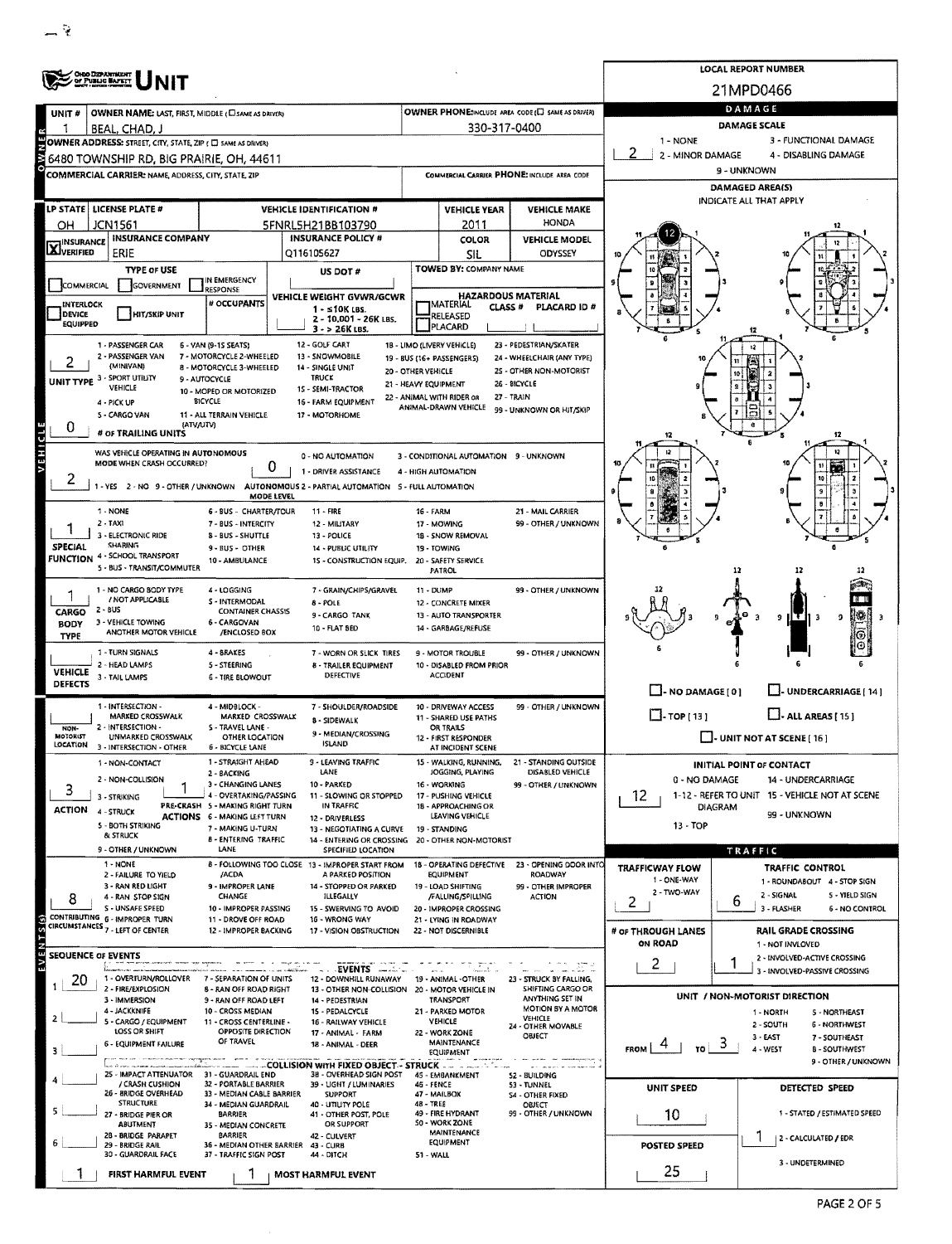| <b>ORDO DEPARTMENT</b><br>OF PUBLIC BAFETT                                                        |                                                                    |                                                           |                                                                                          |                      |                                                   |                                                   | <b>LOCAL REPORT NUMBER</b><br>21MPD0466                 |                                                |  |  |  |  |  |
|---------------------------------------------------------------------------------------------------|--------------------------------------------------------------------|-----------------------------------------------------------|------------------------------------------------------------------------------------------|----------------------|---------------------------------------------------|---------------------------------------------------|---------------------------------------------------------|------------------------------------------------|--|--|--|--|--|
|                                                                                                   |                                                                    |                                                           |                                                                                          |                      |                                                   |                                                   |                                                         |                                                |  |  |  |  |  |
| UNIT #                                                                                            | OWNER NAME: LAST, FIRST, MIDDLE (CI SAME AS DRIVER)                |                                                           |                                                                                          |                      |                                                   | OWNER PHONE:INCLUDE AREA CODE (E) SAME AS DRIVER) | DAMAGE                                                  |                                                |  |  |  |  |  |
|                                                                                                   | BEAL, CHAD, J                                                      |                                                           |                                                                                          |                      | 330-317-0400                                      |                                                   |                                                         | <b>DAMAGE SCALE</b>                            |  |  |  |  |  |
| 1 - NONE<br>3 - FUNCTIONAL DAMAGE<br>OWNER ADDRESS: STREET, CITY, STATE, ZIP ( C) SAME AS DRIVERY |                                                                    |                                                           |                                                                                          |                      |                                                   |                                                   |                                                         |                                                |  |  |  |  |  |
|                                                                                                   | 6480 TOWNSHIP RD, BIG PRAIRIE, OH, 44611                           |                                                           |                                                                                          |                      |                                                   |                                                   | 2 - MINOR DAMAGE<br>4 - DISABLING DAMAGE<br>9 - UNKNOWN |                                                |  |  |  |  |  |
|                                                                                                   | COMMERCIAL CARRIER: NAME, ADDRESS, CITY, STATE, ZIP                |                                                           |                                                                                          |                      |                                                   | COMMERCIAL CARRIER PHONE: INCLUDE AREA CODE       | DAMAGED AREA(S)                                         |                                                |  |  |  |  |  |
|                                                                                                   |                                                                    |                                                           |                                                                                          |                      |                                                   |                                                   | <b>INDICATE ALL THAT APPLY</b>                          |                                                |  |  |  |  |  |
|                                                                                                   | LP STATE   LICENSE PLATE #                                         |                                                           | <b>VEHICLE IDENTIFICATION #</b>                                                          |                      | <b>VEHICLE YEAR</b>                               | <b>VEHICLE MAKE</b>                               |                                                         |                                                |  |  |  |  |  |
| OН                                                                                                | JCN1561                                                            |                                                           | 5FNRL5H21BB103790                                                                        |                      | 2011                                              | HONDA                                             |                                                         |                                                |  |  |  |  |  |
| <b>X</b> INSURANCE                                                                                | <b>INSURANCE COMPANY</b>                                           |                                                           | <b>INSURANCE POLICY #</b>                                                                |                      | <b>COLOR</b>                                      | <b>VEHICLE MODEL</b>                              |                                                         |                                                |  |  |  |  |  |
|                                                                                                   | ERIE                                                               |                                                           | Q116105627                                                                               |                      | SIL<br>TOWED BY: COMPANY NAME                     | ODYSSEY                                           |                                                         |                                                |  |  |  |  |  |
|                                                                                                   | <b>TYPE OF USE</b>                                                 | IN EMERGENCY                                              | US DOT #                                                                                 |                      |                                                   |                                                   |                                                         |                                                |  |  |  |  |  |
| COMMERCIAL                                                                                        | <b>GOVERNMENT</b>                                                  | RESPONSE                                                  | VEHICLE WEIGHT GVWR/GCWR                                                                 |                      |                                                   | <b>HAZARDOUS MATERIAL</b>                         |                                                         |                                                |  |  |  |  |  |
| INTERLOCK<br>DEVICE                                                                               | <b>HIT/SKIP UNIT</b>                                               | # OCCUPANTS                                               | $1 - s10K$ LBS.                                                                          |                      | <b>MATERIAL</b><br>CLASS <sup>#</sup><br>RELEASED | PLACARD ID #                                      |                                                         |                                                |  |  |  |  |  |
| EQUIPPED                                                                                          |                                                                    |                                                           | 2 - 10,001 - 26K LBS.<br>3 - > 26K LBS.                                                  |                      | PLACARD                                           |                                                   |                                                         |                                                |  |  |  |  |  |
|                                                                                                   | 1 - PASSENGER CAR                                                  | 6 - VAN (9-15 SEATS)                                      | 12 - GOLF CART                                                                           |                      | 1B - LIMO (LIVERY VEHICLE)                        | 23 - PEDESTRIAN/SKATER                            |                                                         |                                                |  |  |  |  |  |
|                                                                                                   | 2 - PASSENGER VAN<br>(MINIVAN)                                     | 7 - MOTORCYCLE 2-WHEELED                                  | 13 - SNOWMOBILE                                                                          |                      | 19 - BUS (16+ PASSENGERS)                         | 24 - WHEELCHAIR (ANY TYPE)                        | 10                                                      |                                                |  |  |  |  |  |
|                                                                                                   | UNIT TYPE 3 - SPORT UTILITY                                        | 8 - MOTORCYCLE 3-WHEELED<br>9 - AUTOCYCLE                 | 14 - SINGLE UNIT<br><b>TRUCK</b>                                                         | 20 - OTHER VEHICLE   |                                                   | 25 - OTHER NON-MOTORIST                           |                                                         |                                                |  |  |  |  |  |
|                                                                                                   | VEHICLE                                                            | 10 - MOPED OR MOTORIZED                                   | 15 - SEMI-TRACTOR                                                                        | 21 - HEAVY EQUIPMENT | 22 - ANIMAL WITH RIDER OR                         | 26 - BICYCLE<br>27 - TRAIN                        |                                                         |                                                |  |  |  |  |  |
|                                                                                                   | 4 - PICK UP                                                        | BICYCLE<br>11 - ALL TERRAIN VEHICLE                       | 16 - FARM EQUIPMENT                                                                      |                      | ANIMAL-DRAWN VEHICLE                              | 99 - UNKNOWN OR HIT/SKIP                          |                                                         |                                                |  |  |  |  |  |
| 0                                                                                                 | 5 - CARGO VAN<br>(ATV/UTV)                                         |                                                           | 17 - MOTORHOME                                                                           |                      |                                                   |                                                   |                                                         |                                                |  |  |  |  |  |
|                                                                                                   | # OF TRAILING UNITS                                                |                                                           |                                                                                          |                      |                                                   |                                                   |                                                         | 12                                             |  |  |  |  |  |
| VEHICLE                                                                                           | WAS VEHICLE OPERATING IN AUTONOMOUS                                |                                                           | 0 - NO AUTOMATION                                                                        |                      | 3 - CONDITIONAL AUTOMATION 9 - UNKNOWN            |                                                   |                                                         | 12                                             |  |  |  |  |  |
|                                                                                                   | MODE WHEN CRASH OCCURRED?                                          | 0                                                         | 1 - DRIVER ASSISTANCE                                                                    |                      | 4 - HIGH AUTOMATION                               |                                                   |                                                         |                                                |  |  |  |  |  |
| z                                                                                                 |                                                                    |                                                           | 1 - YES 2 - NO 9 - OTHER / UNKNOWN AUTONOMOUS 2 - PARTIAL AUTOMATION 5 - FULL AUTOMATION |                      |                                                   |                                                   |                                                         |                                                |  |  |  |  |  |
|                                                                                                   |                                                                    | MODE LEVEL                                                |                                                                                          |                      |                                                   |                                                   |                                                         |                                                |  |  |  |  |  |
|                                                                                                   | 1 - NONE<br>$2 - TAX1$                                             | 6 - BUS - CHARTER/TOUR<br>7 - BUS - INTERCITY             | $11 - FIR$<br>12 - MILITARY                                                              | <b>16 - FARM</b>     | 17 - MOWING                                       | 21 - MAIL CARRIER<br>99 - OTHER / UNKNOWN         |                                                         |                                                |  |  |  |  |  |
|                                                                                                   | 3 - ELECTRONIC RIDE                                                | 8 - BUS - SHUTTLE                                         | 13 - POLICE                                                                              |                      | 18 - SNOW REMOVAL                                 |                                                   |                                                         |                                                |  |  |  |  |  |
| SPECIAL                                                                                           | <b>SHARING</b>                                                     | 9 - BUS - OTHER                                           | <b>14 - PUBLIC UTILITY</b>                                                               |                      | 19 - TOWING                                       |                                                   |                                                         |                                                |  |  |  |  |  |
|                                                                                                   | FUNCTION 4 - SCHOOL TRANSPORT<br>5 - BUS - TRANSIT/COMMUTER        | 10 - AMBULANCE                                            | 1S - CONSTRUCTION EQUIP.                                                                 |                      | 20 - SAFETY SERVICE<br>PATROL                     |                                                   |                                                         | 12                                             |  |  |  |  |  |
|                                                                                                   |                                                                    |                                                           |                                                                                          |                      |                                                   |                                                   |                                                         |                                                |  |  |  |  |  |
|                                                                                                   | 1 - NO CARGO BODY TYPE<br>/ NOT APPLICABLE                         | 4 - LOGGING<br>S - INTERMODAL                             | 7 - GRAIN/CHIPS/GRAVEL                                                                   | 11 - DUMP            |                                                   | 99 - OTHER / UNKNOWN                              |                                                         |                                                |  |  |  |  |  |
| CARGO                                                                                             | 2 - BUS                                                            | <b>CONTAINER CHASSIS</b>                                  | 8 - POLE<br>9 - CARGO TANK                                                               |                      | 12 - CONCRETE MIXER<br>13 - AUTO TRANSPORTER      |                                                   |                                                         | 9<br>9<br>-3                                   |  |  |  |  |  |
| <b>BODY</b>                                                                                       | 3 - VEHICLE TOWING<br>ANOTHER MOTOR VEHICLE                        | 6 - CARGOVAN<br>/ENCLOSED BOX                             | 10 - FLAT BED                                                                            |                      | 14 - GARBAGE/REFUSE                               |                                                   |                                                         |                                                |  |  |  |  |  |
| <b>TYPE</b>                                                                                       |                                                                    |                                                           |                                                                                          |                      |                                                   |                                                   |                                                         |                                                |  |  |  |  |  |
|                                                                                                   | 1 - TURN SIGNALS                                                   | 4 - BRAKES                                                | 7 - WORN OR SLICK TIRES                                                                  |                      | 9 - MOTOR TROUBLE                                 | 99 - OTHER / UNKNOWN                              |                                                         |                                                |  |  |  |  |  |
| <b>VEHICLE</b>                                                                                    | 2 - HEAD LAMPS<br>3 - TAIL LAMPS                                   | 5 - STEERING<br>6 - TIRE BLOWOUT                          | 8 - TRAILER EQUIPMENT<br>DEFECTIVE                                                       |                      | 10 - DISABLED FROM PRIOR<br><b>ACCIDENT</b>       |                                                   |                                                         |                                                |  |  |  |  |  |
| <b>DEFECTS</b>                                                                                    |                                                                    |                                                           |                                                                                          |                      |                                                   |                                                   | $\Box$ - NO DAMAGE [ 0 ]                                | J- UNDERCARRIAGE [ 14 ]                        |  |  |  |  |  |
|                                                                                                   | 1 - INTERSECTION -                                                 | 4 - MIDBLOCK -                                            | 7 - SHOULDER/ROADSIDE                                                                    |                      | 10 - DRIVEWAY ACCESS                              | 99 - OTHER / UNKNOWN                              |                                                         |                                                |  |  |  |  |  |
| NON-                                                                                              | MARKED CROSSWALK<br>2 - INTERSECTION -                             | MARKED CROSSWALK<br>S - TRAVEL LANE -                     | 8 - SIDEWALK                                                                             |                      | 11 - SHARED USE PATHS<br>OR TRAILS                |                                                   | $\Box$ -TOP[13]                                         | $\Box$ - ALL AREAS [ 15 ]                      |  |  |  |  |  |
| MOTORIST                                                                                          | UNMARKED CROSSWALK                                                 | OTHER LOCATION                                            | 9 - MEDIAN/CROSSING<br><b>ISLAND</b>                                                     |                      | 12 - FIRST RESPONDER                              |                                                   |                                                         | $\Box$ - UNIT NOT AT SCENE [ 16 ]              |  |  |  |  |  |
| LOCATION                                                                                          | 3 - INTERSECTION - OTHER                                           | <b>6 - BICYCLE LANE</b>                                   |                                                                                          |                      | AT INCIDENT SCENE                                 |                                                   |                                                         |                                                |  |  |  |  |  |
|                                                                                                   | 1 - NON-CONTACT                                                    | 1 - STRAIGHT AHEAD<br>2 - BACKING                         | 9 - LEAVING TRAFFIC<br>LANE                                                              |                      | 15 - WALKING, RUNNING,<br>JOGGING, PLAYING        | 21 - STANDING OUTSIDE<br>DISABLED VEHICLE         |                                                         | <b>INITIAL POINT OF CONTACT</b>                |  |  |  |  |  |
| 3                                                                                                 | 2 - NON-COLLISION                                                  | 3 - CHANGING LANES                                        | 10 - PARKED                                                                              |                      | 16 - WORKING                                      | 99 - OTHER / UNKNOWN                              | 0 - NO DAMAGE                                           | 14 - UNDERCARRIAGE                             |  |  |  |  |  |
|                                                                                                   | 3 - STRIKING                                                       | 4 - OVERTAKING/PASSING<br>PRE-CRASH 5 - MAKING RIGHT TURN | 11 - SLOWING OR STOPPED<br>IN TRAFFIC                                                    |                      | 17 - PUSHING VEHICLE<br>18 - APPROACHING OR       |                                                   | 12                                                      | 1-12 - REFER TO UNIT 15 - VEHICLE NOT AT SCENE |  |  |  |  |  |
| ACTION                                                                                            | 4 - STRUCK                                                         | <b>ACTIONS 6 - MAKING LEFT TURN</b>                       | 12 - DRIVERLESS                                                                          |                      | LEAVING VEHICLE                                   |                                                   | <b>DIAGRAM</b>                                          | 99 - UNKNOWN                                   |  |  |  |  |  |
|                                                                                                   | 5 - BOTH STRIKING<br>& STRUCK                                      | 7 - MAKING U-TURN                                         | 13 - NEGOTIATING A CURVE                                                                 |                      | 19 - STANDING                                     |                                                   | $13 - TOP$                                              |                                                |  |  |  |  |  |
|                                                                                                   | 9 - OTHER / UNKNOWN                                                | <b>B - ENTERING TRAFFIC</b><br>LANE                       | 14 - ENTERING OR CROSSING 20 - OTHER NON-MOTORIST<br>SPECIFIED LOCATION                  |                      |                                                   |                                                   |                                                         | TRAFFIC                                        |  |  |  |  |  |
|                                                                                                   | $1 - NONE$                                                         |                                                           | B - FOLLOWING TOO CLOSE 13 - IMPROPER START FROM                                         |                      | 18 - OPERATING DEFECTIVE                          | 23 - OPENING DOOR INTO                            | <b>TRAFFICWAY FLOW</b>                                  | <b>TRAFFIC CONTROL</b>                         |  |  |  |  |  |
|                                                                                                   | 2 - FAILURE TO YIELD                                               | /ACDA                                                     | A PARKED POSITION                                                                        |                      | EQUIPMENT                                         | ROADWAY                                           | 1 - ONE-WAY                                             | 1 - ROUNDABOUT 4 - STOP SIGN                   |  |  |  |  |  |
| 8                                                                                                 | 3 - RAN RED LIGHT<br>4 - RAN STOP SIGN                             | 9 - IMPROPER LANE<br>CHANGE                               | 14 - STOPPED OR PARKED<br><b>ILLEGALLY</b>                                               |                      | 19 - LOAD SHIFTING<br>/FALLING/SPILLING           | 99 - OTHER IMPROPER<br><b>ACTION</b>              | 2 - TWO-WAY                                             | 2 - SIGNAL<br>5 - YIELD SIGN                   |  |  |  |  |  |
|                                                                                                   | S - UNSAFE SPEED                                                   | 10 - IMPROPER PASSING                                     | 15 - SWERVING TO AVOID                                                                   |                      | 20 - IMPROPER CROSSING                            |                                                   | 2                                                       | 6<br>3 - FLASHER<br>6 - NO CONTROL             |  |  |  |  |  |
|                                                                                                   | CONTRIBUTING 6 - IMPROPER TURN<br>CIRCUMSTANCES 7 - LEFT OF CENTER | 11 - DROVE OFF ROAD<br>12 - IMPROPER BACKING              | 16 - WRONG WAY<br>17 - VISION OBSTRUCTION                                                |                      | 21 - LYING IN ROADWAY<br>22 - NOT DISCERNIBLE     |                                                   | # OF THROUGH LANES                                      | RAIL GRADE CROSSING                            |  |  |  |  |  |
|                                                                                                   |                                                                    |                                                           |                                                                                          |                      |                                                   |                                                   | <b>ON ROAD</b>                                          | 1 - NOT INVLOVED                               |  |  |  |  |  |
| <b>SEQUENCE OF EVENTS</b>                                                                         |                                                                    |                                                           |                                                                                          |                      |                                                   |                                                   | $\mathbf{2}$                                            | 2 - INVOLVED-ACTIVE CROSSING                   |  |  |  |  |  |
| 20                                                                                                | 1 - OVERTURN/ROLLOVER                                              | 7 - SEPARATION OF UNITS                                   | EVENTS <b>And Line</b><br>12 - DOWNHILL RUNAWAY                                          |                      | James J<br>19 - ANIMAL -OTHER                     | 23 - STRUCK BY FALLING,                           |                                                         | 3 - INVOLVED-PASSIVE CROSSING                  |  |  |  |  |  |
|                                                                                                   | 2 - FIRE/EXPLOSION                                                 | <b>8 - RAN OFF ROAD RIGHT</b>                             | 13 - OTHER NON-COLLISION 20 - MOTOR VEHICLE IN                                           |                      |                                                   | SHIFTING CARGO OR                                 |                                                         | UNIT / NON-MOTORIST DIRECTION                  |  |  |  |  |  |
|                                                                                                   | 3 - IMMERSION<br>4 - JACKKNIFE                                     | 9 - RAN OFF ROAD LEFT<br>10 - CROSS MEDIAN                | 14 - PEDESTRIAN<br>15 - PEDALCYCLE                                                       |                      | TRANSPORT<br>21 - PARKED MOTOR                    | ANYTHING SET IN<br><b>MOTION BY A MOTOR</b>       |                                                         | 1 - NORTH<br>5 - NORTHEAST                     |  |  |  |  |  |
|                                                                                                   | 5 - CARGO / EQUIPMENT                                              | 11 - CROSS CENTERLINE -                                   | 16 - RAILWAY VEHICLE                                                                     |                      | VEHICLE                                           | <b>VEHICLE</b><br>24 - OTHER MOVABLE              |                                                         | 2 - SOUTH<br><b>6 - NORTHWEST</b>              |  |  |  |  |  |
|                                                                                                   | LOSS OR SHIFT                                                      | OPPOSITE DIRECTION<br>OF TRAVEL                           | 17 - ANIMAL - FARM                                                                       |                      | 22 - WORK ZONE<br>MAINTENANCE                     | OBJECT                                            |                                                         | $3 - EAST$<br>7 - SOUTHEAST                    |  |  |  |  |  |
|                                                                                                   | 6 - EQUIPMENT FAILURE                                              |                                                           | 18 - ANIMAL - DEER                                                                       |                      | EQUIPMENT                                         |                                                   |                                                         | ే<br>4 - WEST<br><b>B-SOUTHWEST</b>            |  |  |  |  |  |
|                                                                                                   | 25 - IMPACT ATTENUATOR                                             | 31 - GUARDRAIL END                                        | - COLLISION WITH FIXED OBJECT - STRUCK - -<br>38 - OVERHEAD SIGN POST                    |                      | na matan di<br>45 - EMBANKMENT                    |                                                   |                                                         | 9 - OTHER / UNKNOWN                            |  |  |  |  |  |
|                                                                                                   | / CRASH CUSHION                                                    | 32 - PORTABLE BARRIER                                     | 39 - UGHT / LUMINARIES                                                                   | 46 - FENCE           |                                                   | <b>52 - BUILDING</b><br>53 - TUNNEL               | UNIT SPEED                                              | DETECTED SPEED                                 |  |  |  |  |  |
|                                                                                                   | 26 - BRIDGE OVERHEAD<br><b>STRUCTURE</b>                           | 33 - MEDIAN CABLE BARRIER<br>34 - MEDIAN GUARDRAIL        | SUPPORT<br>40 - UTILITY POLE                                                             | $48 - TREE$          | 47 - MAILBOX                                      | S4 - OTHER FIXED<br>OBJECT                        |                                                         |                                                |  |  |  |  |  |
|                                                                                                   | 27 - BRIDGE PIER OR                                                | <b>BARRIER</b>                                            | 41 - OTHER POST, POLE                                                                    |                      | 49 - FIRE HYDRANT                                 | 99 - OTHER / UNKNOWN                              | 10                                                      | 1 - STATED / ESTIMATED SPEED                   |  |  |  |  |  |
|                                                                                                   | ABUTMENT<br>28 - BRIDGE PARAPET                                    | 35 - MEDIAN CONCRETE<br><b>BARRIER</b>                    | OR SUPPORT<br>42 - CULVERT                                                               |                      | 50 - WORK ZONE<br>MAINTENANCE                     |                                                   |                                                         | 2 - CALCULATED / EDR                           |  |  |  |  |  |
|                                                                                                   | 29 - BRIDGE RAIL<br>30 - GUARDRAIL FACE                            | 36 - MEDIAN OTHER BARRIER                                 | 43 - CURB<br>44 - DITCH                                                                  |                      | <b>EQUIPMENT</b>                                  |                                                   | POSTED SPEED                                            |                                                |  |  |  |  |  |
|                                                                                                   |                                                                    | 37 - TRAFFIC SIGN POST                                    |                                                                                          | 51 WALL              |                                                   |                                                   |                                                         | 3 - UNDETERMINED                               |  |  |  |  |  |
|                                                                                                   | FIRST HARMFUL EVENT                                                |                                                           | MOST HARMFUL EVENT                                                                       |                      |                                                   |                                                   | 25                                                      |                                                |  |  |  |  |  |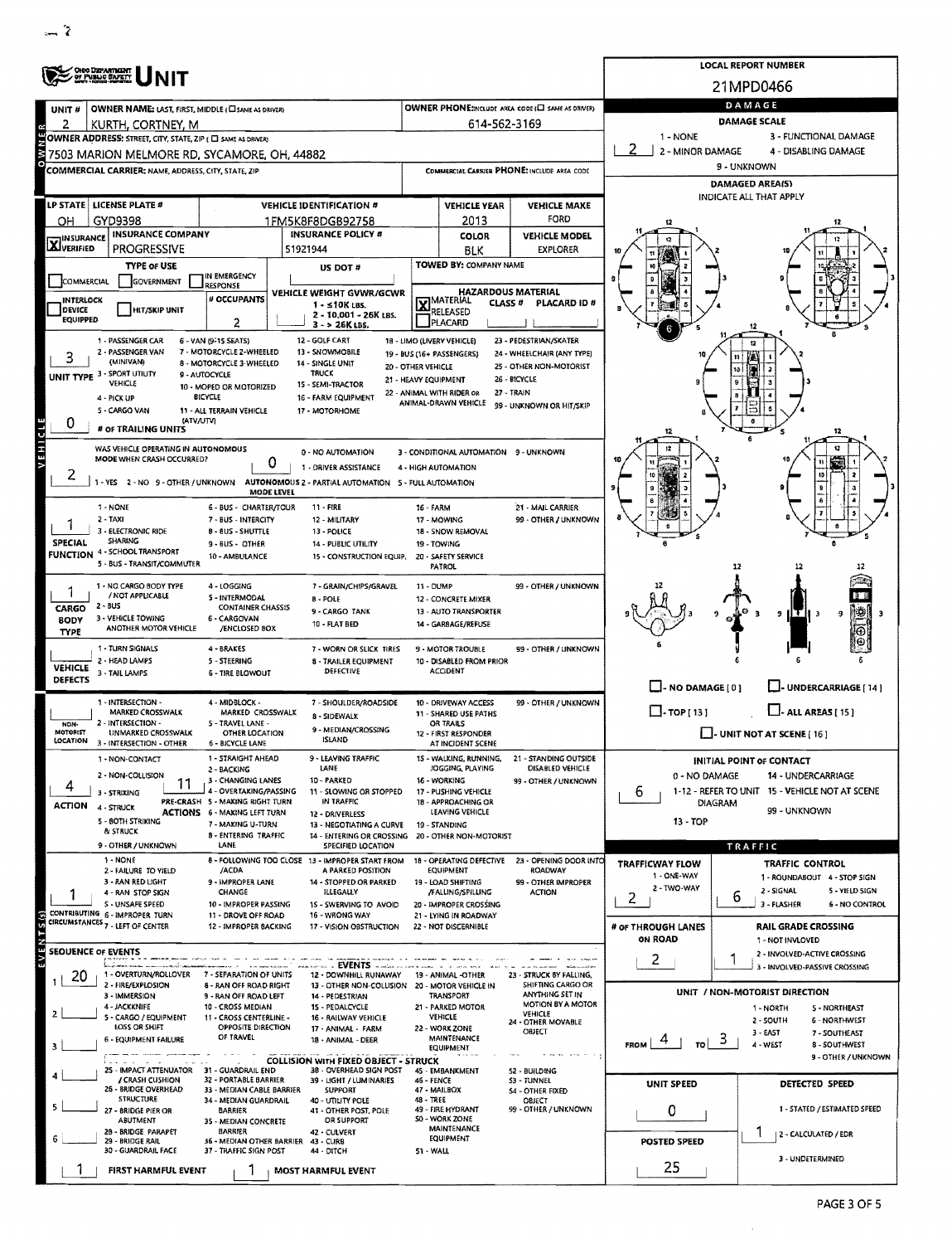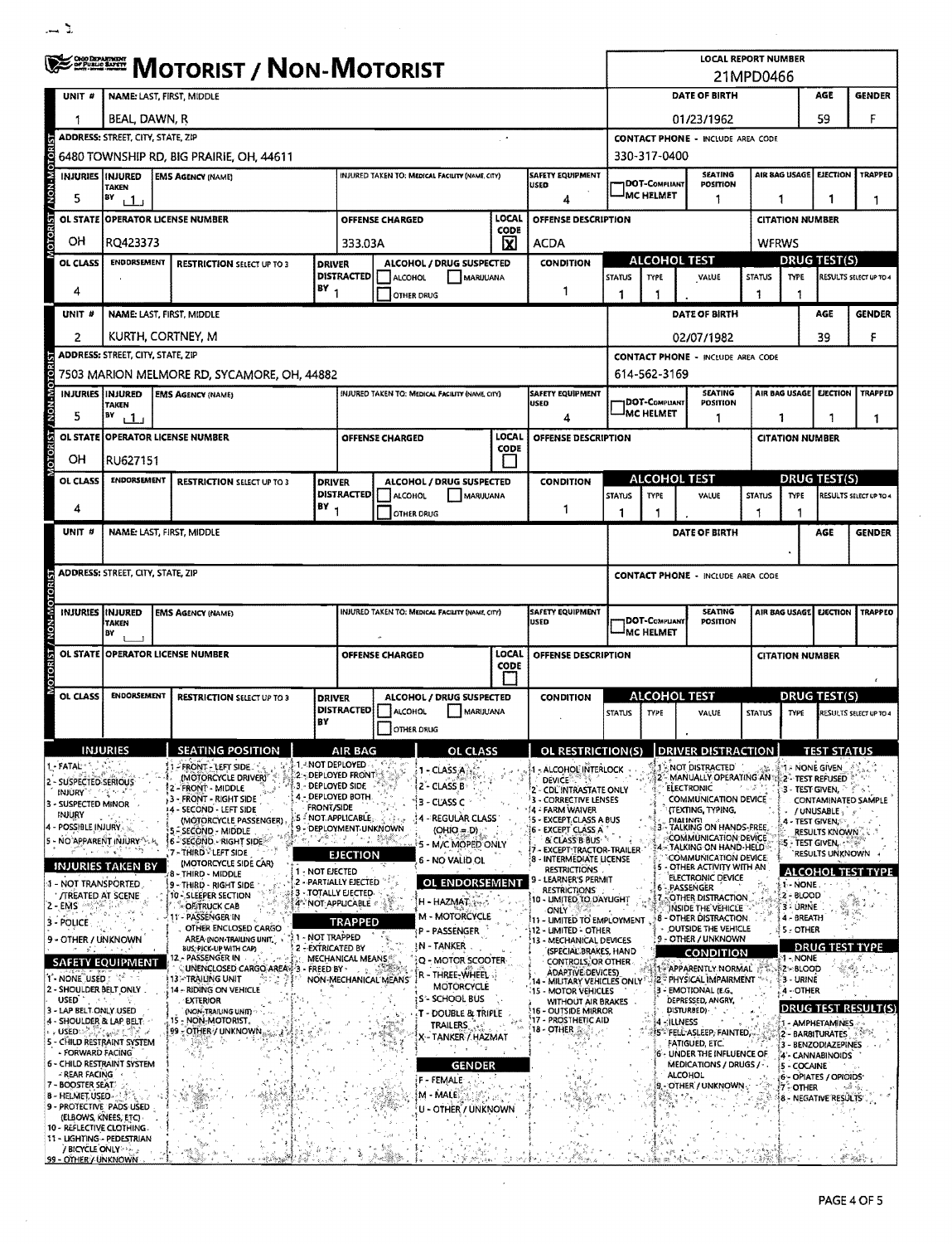|                                                  | <sup>ಆঞ≊ख</sup> ≅ Motorist / Non-Motorist                                                                                                          |                    |                                                              |                                      |                                                                                        |                              |                                                 |                  |                      |                                                                                  | <b>LOCAL REPORT NUMBER</b><br>21MPD0466 |                                          |                                                                                              |                     |                                               |                                   |                                                |                                  |
|--------------------------------------------------|----------------------------------------------------------------------------------------------------------------------------------------------------|--------------------|--------------------------------------------------------------|--------------------------------------|----------------------------------------------------------------------------------------|------------------------------|-------------------------------------------------|------------------|----------------------|----------------------------------------------------------------------------------|-----------------------------------------|------------------------------------------|----------------------------------------------------------------------------------------------|---------------------|-----------------------------------------------|-----------------------------------|------------------------------------------------|----------------------------------|
| UNIT #                                           | NAME: LAST, FIRST, MIDDLE                                                                                                                          |                    |                                                              |                                      |                                                                                        |                              |                                                 |                  | DATE OF BIRTH<br>AGE |                                                                                  |                                         |                                          |                                                                                              |                     | <b>GENDER</b>                                 |                                   |                                                |                                  |
|                                                  | BEAL, DAWN, R                                                                                                                                      |                    |                                                              |                                      |                                                                                        |                              |                                                 |                  | 01/23/1962           |                                                                                  |                                         |                                          |                                                                                              |                     | 59                                            | F                                 |                                                |                                  |
|                                                  | <b>ADDRESS: STREET, CITY, STATE, ZIP</b>                                                                                                           |                    |                                                              |                                      |                                                                                        |                              |                                                 |                  |                      |                                                                                  |                                         | <b>CONTACT PHONE - INCLUDE AREA CODE</b> |                                                                                              |                     |                                               |                                   |                                                |                                  |
| <b>OTORIST / NON-MOTORIST</b>                    | 6480 TOWNSHIP RD, BIG PRAIRIE, OH, 44611                                                                                                           |                    |                                                              |                                      |                                                                                        |                              |                                                 |                  | 330-317-0400         |                                                                                  |                                         |                                          |                                                                                              |                     |                                               |                                   |                                                |                                  |
|                                                  | <b>SAFETY EQUIPMENT</b><br>INJURIES INJURED<br>INJURED TAKEN TO: MEDICAL FACILITY (NAME, CITY)<br><b>EMS AGENCY (NAME)</b><br>USED<br><b>TAKEN</b> |                    |                                                              |                                      |                                                                                        |                              |                                                 |                  |                      | DOT-Compliant                                                                    | <b>SEATING</b><br>POSITION              |                                          |                                                                                              | AIR BAG USAGE       | <b>EJECTION</b>                               | <b>TRAPPED</b>                    |                                                |                                  |
| 5                                                | BY<br>i 1 i                                                                                                                                        |                    |                                                              |                                      |                                                                                        |                              |                                                 |                  |                      | Δ                                                                                |                                         | MC HELMET                                | 1                                                                                            |                     | 1                                             |                                   | 1                                              | 1                                |
| <b>OL STATE</b>                                  |                                                                                                                                                    |                    | <b>OPERATOR LICENSE NUMBER</b>                               |                                      |                                                                                        | <b>OFFENSE CHARGED</b>       |                                                 | LOCAL<br>CODE    |                      | OFFENSE DESCRIPTION                                                              |                                         |                                          |                                                                                              |                     |                                               | <b>CITATION NUMBER</b>            |                                                |                                  |
| OH                                               | RQ423373                                                                                                                                           |                    |                                                              |                                      | 333.03A                                                                                |                              |                                                 | ΙxΙ              | <b>ACDA</b>          |                                                                                  |                                         |                                          |                                                                                              |                     | <b>WFRWS</b>                                  |                                   |                                                |                                  |
| OL CLASS                                         |                                                                                                                                                    | ENDDRSEMENT        | <b>RESTRICTION SELECT UP TO 3</b>                            | <b>DRIVER</b>                        |                                                                                        |                              | ALCOHOL / DRUG SUSPECTED                        |                  |                      | <b>CONDITION</b>                                                                 |                                         | ALCOHOL TEST                             |                                                                                              | <b>DRUG TEST(S)</b> |                                               |                                   |                                                |                                  |
| 4                                                |                                                                                                                                                    |                    |                                                              | $18Y_1$                              | <b>DISTRACTED</b>                                                                      | ALCOHOL<br><b>OTHER DRUG</b> | MARUUANA                                        |                  |                      | 1                                                                                | <b>STATUS</b><br>1                      | <b>TYPE</b><br>1                         | VALUE                                                                                        |                     | <b>STATUS</b><br>1                            | <b>TYPE</b><br>1                  |                                                | RESULTS SELECT UP TO 4           |
| UNIT #                                           |                                                                                                                                                    |                    | NAME: LAST, FIRST, MIDDLE                                    |                                      |                                                                                        |                              |                                                 |                  |                      |                                                                                  |                                         |                                          | DATE OF BIRTH                                                                                |                     |                                               |                                   | AGE                                            | <b>GENDER</b>                    |
| 2                                                |                                                                                                                                                    |                    | KURTH, CORTNEY, M                                            |                                      |                                                                                        |                              |                                                 |                  |                      |                                                                                  |                                         |                                          | 02/07/1982                                                                                   |                     |                                               |                                   | 39                                             | F                                |
|                                                  | ADDRESS: STREET, CITY, STATE, ZIP                                                                                                                  |                    |                                                              |                                      |                                                                                        |                              |                                                 |                  |                      |                                                                                  |                                         |                                          | <b>CONTACT PHONE - INCLUDE AREA CODE</b>                                                     |                     |                                               |                                   |                                                |                                  |
| <b>ISIBOLOW-NON / ISIBOLOI</b>                   |                                                                                                                                                    |                    | 7503 MARION MELMORE RD, SYCAMORE, OH, 44882                  |                                      |                                                                                        |                              |                                                 |                  |                      |                                                                                  |                                         | 614-562-3169                             |                                                                                              |                     |                                               |                                   |                                                |                                  |
|                                                  | INJURIES INJURED<br>TAKEN                                                                                                                          |                    | <b>EMS AGENCY (NAME)</b>                                     |                                      |                                                                                        |                              | INJURED TAKEN TO: MEDICAL FACILITY (NAME, CITY) |                  | USED                 | <b>SAFETY EQUIPMENT</b>                                                          |                                         | <b>IDOT-COMPLIANT</b>                    | <b>SEATING</b><br>POSITION                                                                   |                     |                                               | AIR BAG USAGE                     | <b>EJECTION</b>                                | <b>TRAPPED</b>                   |
| 5                                                | BY<br>ىك                                                                                                                                           |                    |                                                              |                                      |                                                                                        |                              |                                                 |                  |                      | 4                                                                                |                                         | MC HELMET                                | 1                                                                                            |                     | 1                                             |                                   |                                                | 1                                |
| <b>OL STATE</b>                                  |                                                                                                                                                    |                    | <b>OPERATOR LICENSE NUMBER</b>                               |                                      |                                                                                        | OFFENSE CHARGED              |                                                 | LOCAL<br>CODE    |                      | <b>OFFENSE DESCRIPTION</b>                                                       |                                         |                                          |                                                                                              |                     |                                               | <b>CITATION NUMBER</b>            |                                                |                                  |
| OН                                               | RU627151                                                                                                                                           |                    |                                                              |                                      |                                                                                        |                              |                                                 |                  |                      |                                                                                  |                                         |                                          |                                                                                              |                     |                                               |                                   |                                                |                                  |
| OL CLASS                                         |                                                                                                                                                    | <b>ENDORSEMENT</b> | <b>RESTRICTION SELECT UP TO 3</b>                            | <b>DRIVER</b>                        |                                                                                        |                              | ALCOHOL / DRUG SUSPECTED                        |                  |                      | <b>CONDITION</b>                                                                 |                                         |                                          | ALCOHOL TEST                                                                                 |                     |                                               |                                   | <b>DRUG TEST(S)</b>                            |                                  |
| 4                                                |                                                                                                                                                    |                    |                                                              | BY <sub>1</sub>                      | <b>DISTRACTED</b>                                                                      | ALCOHOL                      | MARIJUANA<br>OTHER DRUG                         |                  |                      | 1                                                                                | <b>STATUS</b><br>1                      | <b>TYPE</b>                              | VALUE                                                                                        |                     | <b>STATUS</b>                                 | <b>TYPE</b><br>1                  |                                                | RESULTS SELECT UP TO 4           |
| UNIT #                                           |                                                                                                                                                    |                    | NAME: LAST, FIRST, MIDDLE                                    |                                      |                                                                                        |                              |                                                 |                  |                      |                                                                                  |                                         |                                          | DATE OF BIRTH                                                                                |                     |                                               |                                   | AGE                                            | <b>GENDER</b>                    |
|                                                  |                                                                                                                                                    |                    |                                                              |                                      |                                                                                        |                              |                                                 |                  |                      |                                                                                  |                                         |                                          |                                                                                              |                     |                                               |                                   |                                                |                                  |
|                                                  | <b>ADDRESS: STREET, CITY, STATE, ZIP</b>                                                                                                           |                    |                                                              |                                      |                                                                                        |                              |                                                 |                  |                      |                                                                                  |                                         |                                          | <b>CONTACT PHONE - INCLUDE AREA CODE</b>                                                     |                     |                                               |                                   |                                                |                                  |
|                                                  |                                                                                                                                                    |                    |                                                              |                                      |                                                                                        |                              |                                                 |                  |                      |                                                                                  |                                         |                                          |                                                                                              |                     |                                               |                                   |                                                |                                  |
|                                                  | INJURIES HNJURED<br>TAKEN                                                                                                                          |                    | <b>EMS AGENCY (NAME)</b>                                     |                                      |                                                                                        |                              | INJURED TAKEN TO: MEDICAL FACILITY (NAME, CITY) |                  | USED                 | <b>SAFETY EQUIPMENT</b>                                                          |                                         | DOT-COMPUANT                             | <b>SEATING</b><br>POSITION                                                                   |                     |                                               | AIR BAG USAGE                     | EJECTION                                       | <b>TRAPPED</b>                   |
|                                                  | B٧                                                                                                                                                 |                    |                                                              |                                      |                                                                                        |                              |                                                 |                  |                      |                                                                                  |                                         | <sup>i</sup> MC HELMET                   |                                                                                              |                     |                                               |                                   |                                                |                                  |
| <b>OTORIST / NON-MOTORIST</b><br><b>OL STATE</b> |                                                                                                                                                    |                    | <b>OPERATOR LICENSE NUMBER</b>                               |                                      |                                                                                        | <b>OFFENSE CHARGED</b>       |                                                 | LOCAL<br>CODE    |                      | OFFENSE DESCRIPTION                                                              |                                         |                                          |                                                                                              |                     |                                               | <b>CITATION NUMBER</b>            |                                                |                                  |
|                                                  |                                                                                                                                                    |                    |                                                              |                                      |                                                                                        |                              |                                                 |                  |                      |                                                                                  |                                         |                                          |                                                                                              |                     |                                               |                                   |                                                |                                  |
| OL CLASS                                         |                                                                                                                                                    | <b>ENDORSEMENT</b> | <b>RESTRICTION SELECT UP TO 3</b>                            |                                      | ALCOHOL / DRUG SUSPECTED<br><b>DRIVER</b><br><b>DISTRACTED</b><br>MARIJUANA<br>ALCOHOL |                              |                                                 | <b>CONDITION</b> |                      | <u>ALCOHOL TEST</u><br><b>STATUS</b><br><b>TYPE</b><br>VALUE                     |                                         |                                          | <b>STATUS</b><br>TYPE                                                                        |                     | <b>DRUG TEST(S)</b><br>RESULTS SELECT UP TO 4 |                                   |                                                |                                  |
|                                                  |                                                                                                                                                    |                    |                                                              | BY                                   |                                                                                        | OTHER DRUG                   |                                                 |                  |                      |                                                                                  |                                         |                                          |                                                                                              |                     |                                               |                                   |                                                |                                  |
|                                                  | NJURIES                                                                                                                                            |                    | <b>SEATING POSITH</b>                                        |                                      | AIK BAG                                                                                |                              | ОΗ                                              |                  |                      | <b>DL RESTRICTION</b>                                                            |                                         |                                          | KIVER DISTRA                                                                                 |                     |                                               |                                   |                                                |                                  |
| l - FATAL                                        | 2 - SUSPECTED SERIOUS                                                                                                                              |                    | - FRONT - LEFT SIDE.<br>(MOTORCYCLE DRIVER)                  |                                      | <b>4. ANOT DEPLOYED</b><br>2 - DEPLOYED FRONT                                          |                              | 1 - CLASS A                                     |                  | <b>DEVICE</b>        | - ALCOHOL INTERLOCK                                                              |                                         |                                          | 1 - NOT DISTRACTED<br>2'- MANUALLY OPERATING AN 3                                            |                     |                                               |                                   | 1. NONE GIVEN<br>2 - TEST REFUSED              |                                  |
| INJURY <sup>*</sup><br>3 - SUSPECTED MINOR       |                                                                                                                                                    |                    | - FRONT - MIDDLE<br>- FRONT - RIGHT SIDE                     |                                      | 3 - DEPLOYED SIDE<br>4 - DEPLOYED BOTH.                                                |                              | 2 - CLASS B<br>3 - CLASS C                      |                  | ۱ą                   | - CDL INTRASTATE ONLY<br>- CORRECTIVE LENSES                                     |                                         |                                          | <b>ELECTRONIC</b><br><b>COMMUNICATION DEVICE</b>                                             |                     |                                               |                                   | 3 - TEST GIVEN,                                | CONTAMINATED SAMPLE              |
| INJURY                                           |                                                                                                                                                    |                    | 4 - SECOND - LEFT SIDE<br>(MOTORCYCLE PASSENGER)             | <b>FRONT/SIDE</b>                    | :5 - NOT.APPLICABLE,                                                                   |                              | <b>4 - REGULAR CLASS</b>                        |                  |                      | 4 - FARM WAIVER<br>- EXCEPT.CLASS A BUS                                          |                                         |                                          | (TEXTING, TYPING,<br><b>DIALING!</b>                                                         |                     |                                               |                                   | / UNUSABLE<br>4 - TEST GIVEN,©                 |                                  |
| 4 - POSSIBLE INJURY.                             | 5 - NO APPARENT (NJURY 1.4)                                                                                                                        |                    | - SECOND - MIDDLE<br><b>6 - SECOND - RIGHT SIDE</b>          |                                      | 9 - DEPLOYMENT UNKNOWN<br>너 아버지 환성                                                     |                              | $(OHIO = D)$<br>5 - M/C MOPED ONLY              |                  |                      | 6 - EXCEPT CLASS A<br><b>&amp; CLASS B BUS</b>                                   |                                         |                                          | 3 - TALKING ON HANDS-FREE<br>COMMUNICATION DEVICE.<br>4 - TALKING ON HAND-HELD               |                     |                                               |                                   | <b>RESULTS KNOWN</b><br><b>5 - TEST GIVEN.</b> |                                  |
|                                                  | INJURIES TAKEN BY                                                                                                                                  |                    | 7 - THIRD LEFT SIDE<br>(MOTORCYCLE SIDE CAR)                 |                                      | <b>EJECTION</b>                                                                        |                              | 6 - NO VALID OL                                 |                  |                      | <b>EXCEPT TRACTOR-TRAILER</b><br>8 - INTERMEDIATE LICENSE<br><b>RESTRICTIONS</b> |                                         |                                          | COMMUNICATION DEVICE.<br>5 - OTHER ACTIVITY WITH AN                                          |                     |                                               |                                   | <b>RESULTS UNKNOWN</b>                         |                                  |
|                                                  | 1 - NOT TRANSPORTED                                                                                                                                |                    | 8 - THIRD - MIDDLE<br>9 - THIRD - RIGHT SIDE                 | 1 - NOT EJECTED                      | 2 - PARTIALLY EJECTED                                                                  |                              | OL ENDORSEMENT                                  |                  |                      | LEARNER'S PERMIT<br><b>RESTRICTIONS</b>                                          |                                         |                                          | ELECTRONIC DEVICE<br>6 - PASSENGER                                                           |                     |                                               | 1 - NONE                          |                                                | <b>ALCOHOL TEST TYPE</b>         |
| 2 - EMS                                          | <b>/TREATED AT SCENE</b>                                                                                                                           |                    | 10 - SLEEPER SECTION<br><b>OF TRUCK CAB</b>                  |                                      | 3 - TOTALLY EJECTED<br>4 NOT APPLICABLE                                                |                              | H - HAZMAT                                      |                  | <b>ONLY</b>          | 10 - UMITED TO DAYUGHT                                                           |                                         |                                          | 7. OTHER DISTRACTION<br>INSIDE THE VEHICLE                                                   |                     |                                               | 2 - BLOOD<br>3 - URINE            |                                                | 第1<br>$\sqrt{\lambda} \lambda_k$ |
| 3 - POLICE                                       |                                                                                                                                                    |                    | 11 - PASSENGER IN<br>OTHER ENCLOSED CARGO                    |                                      | <b>TRAPPED</b>                                                                         |                              | M - MOTORCYCLE<br>P - PASSENGER                 |                  |                      | 11 - LIMITED TO EMPLOYMENT<br>12 - LIMITED - OTHER                               |                                         | 8                                        | - OTHER DISTRACTION<br>OUTSIDE THE VEHICLE                                                   |                     |                                               | 4 - BREATH<br>5 - OTHER           |                                                |                                  |
|                                                  | 9 - OTHER / UNKNOWN                                                                                                                                |                    | AREA (NON-TRAILING UNIT,<br>BUS, PICK-UP WITH CAP)           | 1 - NOT TRAPPED<br>2 - EXTRICATED BY |                                                                                        |                              | IN - TANKER                                     |                  |                      | 13 - MECHANICAL DEVICES<br>(SPECIAL BRAKES, HAND                                 |                                         |                                          | 9 - OTHER / UNKNOWN<br><b>CONDITION</b>                                                      |                     |                                               |                                   | <b>DRUG TEST TYPE</b>                          |                                  |
|                                                  | <b>SAFETY EQUIPMENT</b>                                                                                                                            |                    | 12 - PASSENGER IN<br>UNENCLOSED CARGO AREAN 3 - FREED BY -   |                                      | MECHANICAL MEANS <sup>®</sup>                                                          |                              | Q - MOTOR SCOOTER<br>R - THREE-WHEEL            |                  |                      | <b>CONTROLS, OR OTHER</b><br><b>ADAPTIVE DEVICES)</b>                            |                                         |                                          | 1 - APPARENTLY NORMAL                                                                        |                     |                                               | <b>1 - NONE</b><br>ੋਨੈਨੇ ≸2⊱8LOOD |                                                |                                  |
| USED <sup>"</sup>                                | 1 - NONE USED : "<br>2 - SHOULDER BELT ONLY.                                                                                                       |                    | 13:~TRAILING UNIT<br>14 - RIDING ON VEHICLE                  |                                      |                                                                                        | NON-MECHANICAL MEANS         | MOTORCYCLE<br>S'- SCHOOL BUS                    |                  |                      | 15 - MOTOR VEHICLES                                                              |                                         |                                          | 14 - MILITARY VEHICLES ONLY 2 PHYSICAL IMPAIRMENT<br>- EMOTIONAL (E.G.,<br>DEPRESSED, ANGRY, |                     |                                               | <b>53 URINE</b><br>4 - OTHER      |                                                |                                  |
|                                                  | 3 - LAP BELT ONLY USED<br>4 - SHOULDER & LAP BELT: -                                                                                               |                    | <b>EXTERIOR</b><br>(NON-TRAILING UNIT)<br>15 - NON-MOTORIST. |                                      |                                                                                        |                              | - DOUBLE & TRIPLE                               |                  |                      | <b>WITHOUT AIR BRAKES</b><br>16 - OUTSIDE MIRROR<br>17 - PROSTHETIC AID          |                                         |                                          | DISTURBED)                                                                                   |                     |                                               |                                   |                                                | DRUG TEST RESULT(S)              |
| <b>USED</b>                                      | r tank t                                                                                                                                           |                    | 99 - OTHER / UNKNOWN,                                        |                                      |                                                                                        |                              | <b>TRAILERS</b><br>X - TANKER / HAZMAT          |                  | 18 - OTHER $\approx$ |                                                                                  |                                         |                                          | 4-ILLNESS<br><b>ASS FELL ASLEEP, FAINTED</b>                                                 |                     |                                               |                                   | - AMPHETAMINES<br>2 - BARBITURATES             |                                  |
|                                                  | 5 - CHILD RESTRAINT SYSTEM<br>- FORWARD FACING                                                                                                     |                    |                                                              |                                      |                                                                                        |                              |                                                 |                  |                      |                                                                                  |                                         |                                          | FATIGUED, ETC.<br>6 - UNDER THE INFLUENCE OF                                                 |                     |                                               |                                   | 3 - BENZODIAZEPINES<br>4 - CANNABINOIDS        |                                  |
| - REAR FACING                                    | 6 - CHILD RESTRAINT SYSTEM                                                                                                                         |                    |                                                              |                                      |                                                                                        |                              | <b>GENDER</b><br>F - FEMALE                     |                  |                      |                                                                                  |                                         |                                          | MEDICATIONS / DRUGS / -.<br>ALCOHOL                                                          |                     |                                               | 5 - COCAINE                       | 6 - OPIATES / OPIOIDS                          |                                  |
| 7 - BOOSTER SEAT.<br>8 - HELMET, USED -          |                                                                                                                                                    |                    |                                                              |                                      |                                                                                        |                              | M - MALE                                        |                  |                      |                                                                                  |                                         |                                          | 9. OTHER / UNKNOWN.                                                                          |                     |                                               | 7 OTHER                           | 8 - NEGATIVE RESULTS                           | 绿暗                               |
|                                                  | 9 - PROTECTIVE PADS USED<br>(ELBOWS, KNEES, ETC)                                                                                                   |                    |                                                              |                                      |                                                                                        |                              | U - OTHER / UNKNOWN                             |                  |                      |                                                                                  |                                         |                                          |                                                                                              |                     |                                               |                                   |                                                |                                  |
|                                                  | 10 - REFLECTIVE CLOTHING.<br>11 - LIGHTING - PEDESTRIAN                                                                                            |                    |                                                              |                                      |                                                                                        |                              |                                                 |                  |                      |                                                                                  |                                         |                                          |                                                                                              |                     |                                               |                                   |                                                |                                  |
|                                                  | / BICYCLE ONLY THE<br>99 - OTHER / UNKNOWN                                                                                                         |                    |                                                              |                                      |                                                                                        |                              |                                                 |                  |                      |                                                                                  |                                         |                                          |                                                                                              |                     |                                               |                                   |                                                |                                  |

 $\bar{\mathcal{A}}$ 

PAGE 4 OF 5